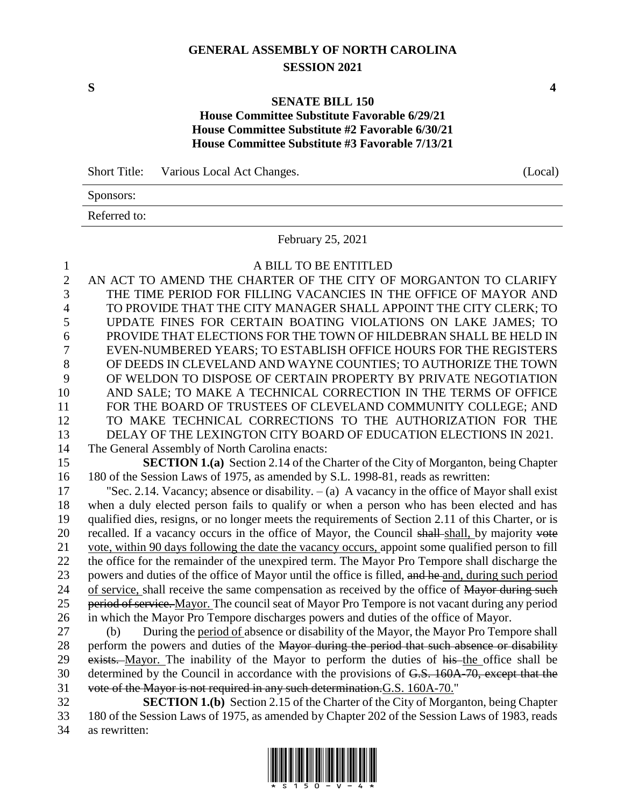# **GENERAL ASSEMBLY OF NORTH CAROLINA SESSION 2021**

#### **SENATE BILL 150**

## **House Committee Substitute Favorable 6/29/21 House Committee Substitute #2 Favorable 6/30/21 House Committee Substitute #3 Favorable 7/13/21**

Short Title: Various Local Act Changes. (Local)

Sponsors:

Referred to:

February 25, 2021

|          | A BILL TO BE ENTITLED                                                                   |
|----------|-----------------------------------------------------------------------------------------|
| $\gamma$ | AN ACT TO AMEND THE CHARTER OF THE CITY OF MORGANTON TO CLARIFY                         |
| 3        | THE TIME PERIOD FOR FILLING VACANCIES IN THE OFFICE OF MAYOR AND                        |
| 4        | TO PROVIDE THAT THE CITY MANAGER SHALL APPOINT THE CITY CLERK; TO                       |
|          | UPDATE FINES FOR CERTAIN BOATING VIOLATIONS ON LAKE JAMES; TO                           |
| 6        | PROVIDE THAT ELECTIONS FOR THE TOWN OF HILDEBRAN SHALL BE HELD IN                       |
|          | EVEN-NUMBERED YEARS; TO ESTABLISH OFFICE HOURS FOR THE REGISTERS                        |
| 8        | OF DEEDS IN CLEVELAND AND WAYNE COUNTIES; TO AUTHORIZE THE TOWN                         |
| 9        | OF WELDON TO DISPOSE OF CERTAIN PROPERTY BY PRIVATE NEGOTIATION                         |
| 10       | AND SALE; TO MAKE A TECHNICAL CORRECTION IN THE TERMS OF OFFICE                         |
| 11       | FOR THE BOARD OF TRUSTEES OF CLEVELAND COMMUNITY COLLEGE; AND                           |
| 12       | TO MAKE TECHNICAL CORRECTIONS TO THE AUTHORIZATION FOR THE                              |
| 13       | DELAY OF THE LEXINGTON CITY BOARD OF EDUCATION ELECTIONS IN 2021.                       |
| 14       | The General Assembly of North Carolina enacts:                                          |
| 15       | <b>SECTION 1(a)</b> Section 2.14 of the Charter of the City of Morganton, being Chapter |

 **SECTION 1.(a)** Section 2.14 of the Charter of the City of Morganton, being Chapter 180 of the Session Laws of 1975, as amended by S.L. 1998-81, reads as rewritten:

 "Sec. 2.14. Vacancy; absence or disability. – (a) A vacancy in the office of Mayor shall exist when a duly elected person fails to qualify or when a person who has been elected and has qualified dies, resigns, or no longer meets the requirements of Section 2.11 of this Charter, or is 20 recalled. If a vacancy occurs in the office of Mayor, the Council shall-shall, by majority vote vote, within 90 days following the date the vacancy occurs, appoint some qualified person to fill the office for the remainder of the unexpired term. The Mayor Pro Tempore shall discharge the powers and duties of the office of Mayor until the office is filled, and he and, during such period 24 of service, shall receive the same compensation as received by the office of Mayor during such 25 period of service. Mayor. The council seat of Mayor Pro Tempore is not vacant during any period in which the Mayor Pro Tempore discharges powers and duties of the office of Mayor.

 (b) During the period of absence or disability of the Mayor, the Mayor Pro Tempore shall 28 perform the powers and duties of the Mayor during the period that such absence or disability 29 exists. Mayor. The inability of the Mayor to perform the duties of his the office shall be determined by the Council in accordance with the provisions of G.S. 160A-70, except that the vote of the Mayor is not required in any such determination.G.S. 160A-70."

 **SECTION 1.(b)** Section 2.15 of the Charter of the City of Morganton, being Chapter 180 of the Session Laws of 1975, as amended by Chapter 202 of the Session Laws of 1983, reads as rewritten:



**S 4**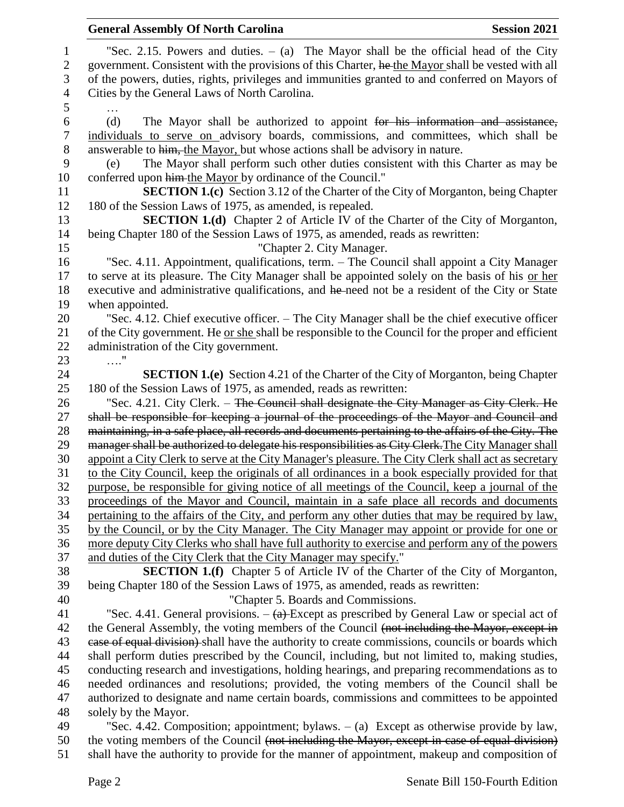|                | <b>General Assembly Of North Carolina</b><br><b>Session 2021</b>                                                                                                                       |  |
|----------------|----------------------------------------------------------------------------------------------------------------------------------------------------------------------------------------|--|
| $\mathbf{1}$   | "Sec. 2.15. Powers and duties. $-$ (a) The Mayor shall be the official head of the City                                                                                                |  |
| $\mathbf{2}$   | government. Consistent with the provisions of this Charter, he the Mayor shall be vested with all                                                                                      |  |
| 3              | of the powers, duties, rights, privileges and immunities granted to and conferred on Mayors of                                                                                         |  |
| $\overline{4}$ | Cities by the General Laws of North Carolina.                                                                                                                                          |  |
| 5              |                                                                                                                                                                                        |  |
| 6              | The Mayor shall be authorized to appoint for his information and assistance,<br>(d)                                                                                                    |  |
| $\tau$         | individuals to serve on advisory boards, commissions, and committees, which shall be                                                                                                   |  |
| $8\,$          | answerable to him, the Mayor, but whose actions shall be advisory in nature.                                                                                                           |  |
| 9              | The Mayor shall perform such other duties consistent with this Charter as may be<br>(e)                                                                                                |  |
| 10             | conferred upon him the Mayor by ordinance of the Council."                                                                                                                             |  |
| 11             | <b>SECTION 1.(c)</b> Section 3.12 of the Charter of the City of Morganton, being Chapter                                                                                               |  |
| 12             | 180 of the Session Laws of 1975, as amended, is repealed.                                                                                                                              |  |
| 13             | <b>SECTION 1.(d)</b> Chapter 2 of Article IV of the Charter of the City of Morganton,                                                                                                  |  |
| 14             | being Chapter 180 of the Session Laws of 1975, as amended, reads as rewritten:                                                                                                         |  |
| 15             | "Chapter 2. City Manager.                                                                                                                                                              |  |
| 16             | "Sec. 4.11. Appointment, qualifications, term. – The Council shall appoint a City Manager                                                                                              |  |
| 17             | to serve at its pleasure. The City Manager shall be appointed solely on the basis of his or her                                                                                        |  |
| 18             | executive and administrative qualifications, and he need not be a resident of the City or State                                                                                        |  |
| 19             | when appointed.                                                                                                                                                                        |  |
| 20             | "Sec. 4.12. Chief executive officer. – The City Manager shall be the chief executive officer                                                                                           |  |
| 21             | of the City government. He or she shall be responsible to the Council for the proper and efficient                                                                                     |  |
| 22             | administration of the City government.                                                                                                                                                 |  |
| 23             | $\ldots$ "                                                                                                                                                                             |  |
| 24             | <b>SECTION 1.(e)</b> Section 4.21 of the Charter of the City of Morganton, being Chapter                                                                                               |  |
| 25             | 180 of the Session Laws of 1975, as amended, reads as rewritten:                                                                                                                       |  |
| 26<br>27       | "Sec. 4.21. City Clerk. – The Council shall designate the City Manager as City Clerk. He<br>shall be responsible for keeping a journal of the proceedings of the Mayor and Council and |  |
| 28             | maintaining, in a safe place, all records and documents pertaining to the affairs of the City. The                                                                                     |  |
| 29             | manager shall be authorized to delegate his responsibilities as City Clerk. The City Manager shall                                                                                     |  |
| 30             | appoint a City Clerk to serve at the City Manager's pleasure. The City Clerk shall act as secretary                                                                                    |  |
| 31             | to the City Council, keep the originals of all ordinances in a book especially provided for that                                                                                       |  |
| 32             | purpose, be responsible for giving notice of all meetings of the Council, keep a journal of the                                                                                        |  |
| 33             | proceedings of the Mayor and Council, maintain in a safe place all records and documents                                                                                               |  |
| 34             | pertaining to the affairs of the City, and perform any other duties that may be required by law,                                                                                       |  |
| 35             | by the Council, or by the City Manager. The City Manager may appoint or provide for one or                                                                                             |  |
| 36             | more deputy City Clerks who shall have full authority to exercise and perform any of the powers                                                                                        |  |
| 37             | and duties of the City Clerk that the City Manager may specify."                                                                                                                       |  |
| 38             | <b>SECTION 1.(f)</b> Chapter 5 of Article IV of the Charter of the City of Morganton,                                                                                                  |  |
| 39             | being Chapter 180 of the Session Laws of 1975, as amended, reads as rewritten:                                                                                                         |  |
| 40             | "Chapter 5. Boards and Commissions.                                                                                                                                                    |  |
| 41             | "Sec. 4.41. General provisions. $-\left(\frac{a}{a}\right)$ -Except as prescribed by General Law or special act of                                                                     |  |
| 42             | the General Assembly, the voting members of the Council (not including the Mayor, except in                                                                                            |  |
| 43             | ease of equal division) shall have the authority to create commissions, councils or boards which                                                                                       |  |
| 44             | shall perform duties prescribed by the Council, including, but not limited to, making studies,                                                                                         |  |
| 45             | conducting research and investigations, holding hearings, and preparing recommendations as to                                                                                          |  |
| 46             | needed ordinances and resolutions; provided, the voting members of the Council shall be                                                                                                |  |
| 47             | authorized to designate and name certain boards, commissions and committees to be appointed                                                                                            |  |
| 48             | solely by the Mayor.                                                                                                                                                                   |  |
| 49             | "Sec. 4.42. Composition; appointment; bylaws. $-$ (a) Except as otherwise provide by law,                                                                                              |  |
| 50             | the voting members of the Council (not including the Mayor, except in case of equal division)                                                                                          |  |

shall have the authority to provide for the manner of appointment, makeup and composition of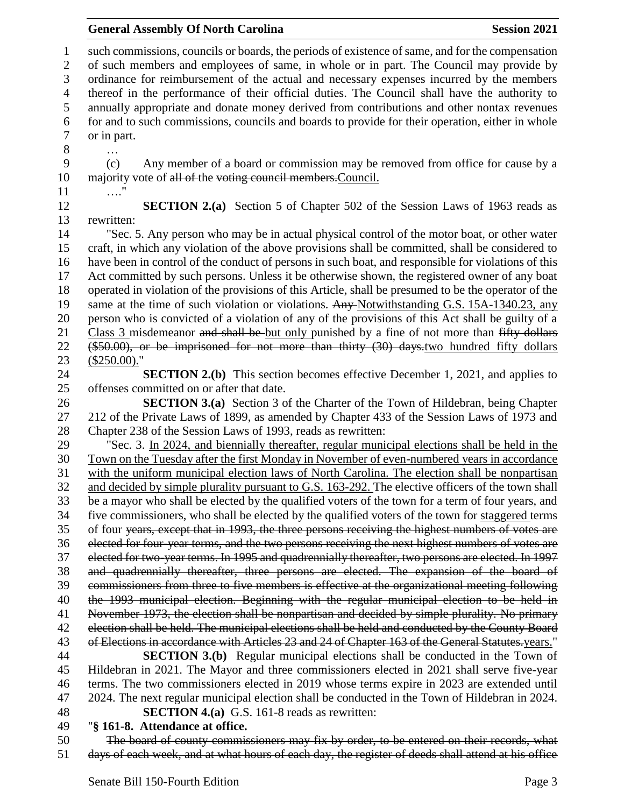such commissions, councils or boards, the periods of existence of same, and for the compensation of such members and employees of same, in whole or in part. The Council may provide by ordinance for reimbursement of the actual and necessary expenses incurred by the members thereof in the performance of their official duties. The Council shall have the authority to annually appropriate and donate money derived from contributions and other nontax revenues for and to such commissions, councils and boards to provide for their operation, either in whole or in part. … (c) Any member of a board or commission may be removed from office for cause by a 10 majority vote of all of the voting council members. Council. …." **SECTION 2.(a)** Section 5 of Chapter 502 of the Session Laws of 1963 reads as rewritten: "Sec. 5. Any person who may be in actual physical control of the motor boat, or other water craft, in which any violation of the above provisions shall be committed, shall be considered to have been in control of the conduct of persons in such boat, and responsible for violations of this Act committed by such persons. Unless it be otherwise shown, the registered owner of any boat operated in violation of the provisions of this Article, shall be presumed to be the operator of the 19 same at the time of such violation or violations. Any Notwithstanding G.S. 15A-1340.23, any person who is convicted of a violation of any of the provisions of this Act shall be guilty of a 21 Class 3 misdemeanor and shall be but only punished by a fine of not more than fifty dollars (\$50.00), or be imprisoned for not more than thirty (30) days.two hundred fifty dollars (\$250.00)." **SECTION 2.(b)** This section becomes effective December 1, 2021, and applies to offenses committed on or after that date. **SECTION 3.(a)** Section 3 of the Charter of the Town of Hildebran, being Chapter 212 of the Private Laws of 1899, as amended by Chapter 433 of the Session Laws of 1973 and Chapter 238 of the Session Laws of 1993, reads as rewritten: "Sec. 3. In 2024, and biennially thereafter, regular municipal elections shall be held in the Town on the Tuesday after the first Monday in November of even-numbered years in accordance with the uniform municipal election laws of North Carolina. The election shall be nonpartisan 32 and decided by simple plurality pursuant to G.S. 163-292. The elective officers of the town shall be a mayor who shall be elected by the qualified voters of the town for a term of four years, and five commissioners, who shall be elected by the qualified voters of the town for staggered terms of four years, except that in 1993, the three persons receiving the highest numbers of votes are elected for four-year terms, and the two persons receiving the next highest numbers of votes are elected for two-year terms. In 1995 and quadrennially thereafter, two persons are elected. In 1997 and quadrennially thereafter, three persons are elected. The expansion of the board of commissioners from three to five members is effective at the organizational meeting following the 1993 municipal election. Beginning with the regular municipal election to be held in November 1973, the election shall be nonpartisan and decided by simple plurality. No primary 42 election shall be held. The municipal elections shall be held and conducted by the County Board 43 of Elections in accordance with Articles 23 and 24 of Chapter 163 of the General Statutes.years." **SECTION 3.(b)** Regular municipal elections shall be conducted in the Town of Hildebran in 2021. The Mayor and three commissioners elected in 2021 shall serve five-year terms. The two commissioners elected in 2019 whose terms expire in 2023 are extended until 2024. The next regular municipal election shall be conducted in the Town of Hildebran in 2024. **SECTION 4.(a)** G.S. 161-8 reads as rewritten:

## "**§ 161-8. Attendance at office.**

 The board of county commissioners may fix by order, to be entered on their records, what days of each week, and at what hours of each day, the register of deeds shall attend at his office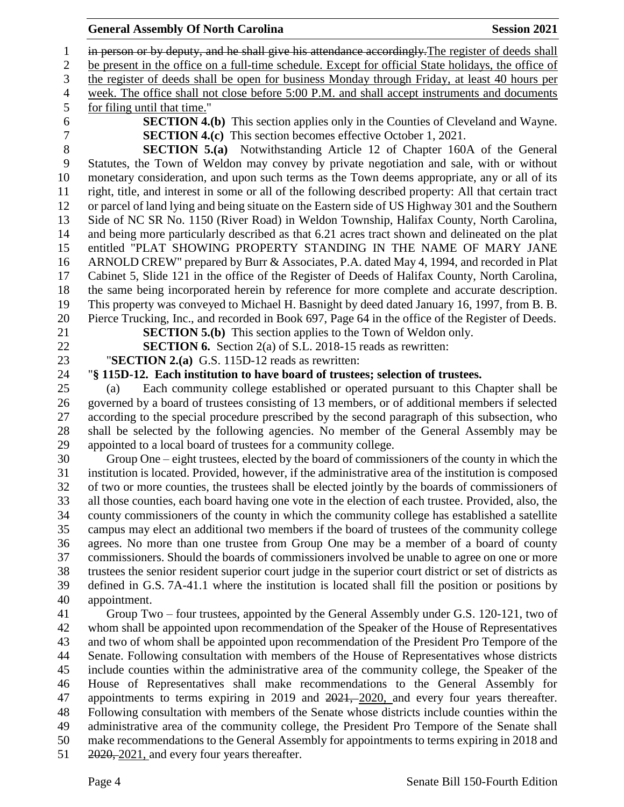#### **General Assembly Of North Carolina Session 2021**

1 in person or by deputy, and he shall give his attendance accordingly. The register of deeds shall be present in the office on a full-time schedule. Except for official State holidays, the office of the register of deeds shall be open for business Monday through Friday, at least 40 hours per week. The office shall not close before 5:00 P.M. and shall accept instruments and documents for filing until that time." **SECTION 4.(b)** This section applies only in the Counties of Cleveland and Wayne. **SECTION 4.(c)** This section becomes effective October 1, 2021. **SECTION 5.(a)** Notwithstanding Article 12 of Chapter 160A of the General Statutes, the Town of Weldon may convey by private negotiation and sale, with or without monetary consideration, and upon such terms as the Town deems appropriate, any or all of its right, title, and interest in some or all of the following described property: All that certain tract or parcel of land lying and being situate on the Eastern side of US Highway 301 and the Southern Side of NC SR No. 1150 (River Road) in Weldon Township, Halifax County, North Carolina, and being more particularly described as that 6.21 acres tract shown and delineated on the plat entitled "PLAT SHOWING PROPERTY STANDING IN THE NAME OF MARY JANE ARNOLD CREW" prepared by Burr & Associates, P.A. dated May 4, 1994, and recorded in Plat Cabinet 5, Slide 121 in the office of the Register of Deeds of Halifax County, North Carolina, the same being incorporated herein by reference for more complete and accurate description. This property was conveyed to Michael H. Basnight by deed dated January 16, 1997, from B. B. Pierce Trucking, Inc., and recorded in Book 697, Page 64 in the office of the Register of Deeds. **SECTION 5.(b)** This section applies to the Town of Weldon only. **SECTION 6.** Section 2(a) of S.L. 2018-15 reads as rewritten: "**SECTION 2.(a)** G.S. 115D-12 reads as rewritten: "**§ 115D-12. Each institution to have board of trustees; selection of trustees.** (a) Each community college established or operated pursuant to this Chapter shall be governed by a board of trustees consisting of 13 members, or of additional members if selected according to the special procedure prescribed by the second paragraph of this subsection, who shall be selected by the following agencies. No member of the General Assembly may be appointed to a local board of trustees for a community college. Group One – eight trustees, elected by the board of commissioners of the county in which the institution is located. Provided, however, if the administrative area of the institution is composed of two or more counties, the trustees shall be elected jointly by the boards of commissioners of all those counties, each board having one vote in the election of each trustee. Provided, also, the county commissioners of the county in which the community college has established a satellite campus may elect an additional two members if the board of trustees of the community college agrees. No more than one trustee from Group One may be a member of a board of county commissioners. Should the boards of commissioners involved be unable to agree on one or more trustees the senior resident superior court judge in the superior court district or set of districts as defined in G.S. 7A-41.1 where the institution is located shall fill the position or positions by appointment. Group Two – four trustees, appointed by the General Assembly under G.S. 120-121, two of whom shall be appointed upon recommendation of the Speaker of the House of Representatives and two of whom shall be appointed upon recommendation of the President Pro Tempore of the Senate. Following consultation with members of the House of Representatives whose districts include counties within the administrative area of the community college, the Speaker of the House of Representatives shall make recommendations to the General Assembly for 47 appointments to terms expiring in 2019 and 2021, 2020, and every four years thereafter. Following consultation with members of the Senate whose districts include counties within the administrative area of the community college, the President Pro Tempore of the Senate shall make recommendations to the General Assembly for appointments to terms expiring in 2018 and  $51 \quad \frac{2020}{2021}$ , and every four years thereafter.